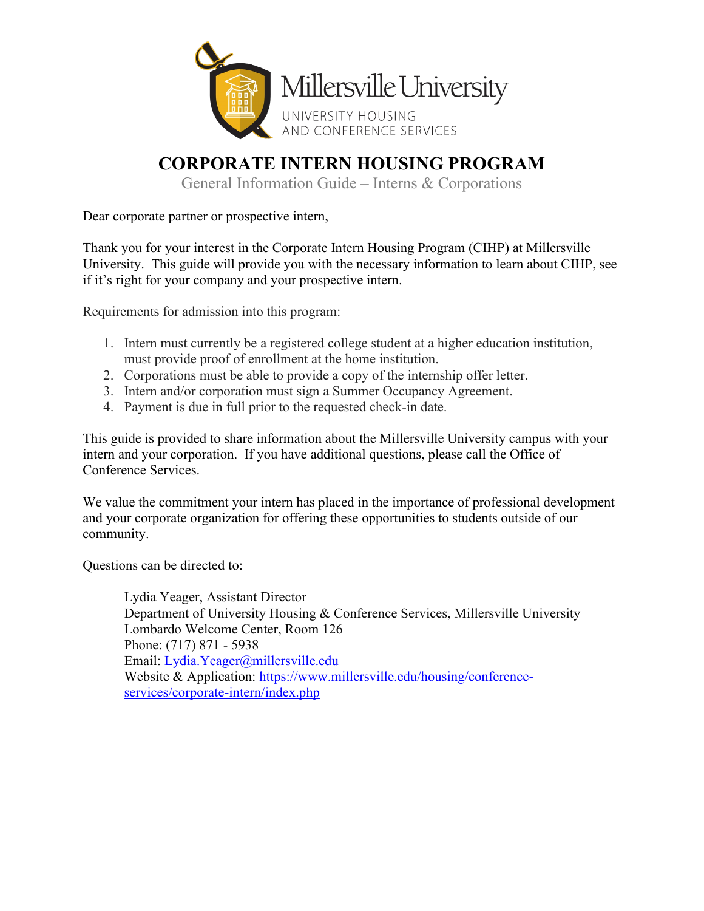

# **CORPORATE INTERN HOUSING PROGRAM**

General Information Guide – Interns & Corporations

Dear corporate partner or prospective intern,

Thank you for your interest in the Corporate Intern Housing Program (CIHP) at Millersville University. This guide will provide you with the necessary information to learn about CIHP, see if it's right for your company and your prospective intern.

Requirements for admission into this program:

- 1. Intern must currently be a registered college student at a higher education institution, must provide proof of enrollment at the home institution.
- 2. Corporations must be able to provide a copy of the internship offer letter.
- 3. Intern and/or corporation must sign a Summer Occupancy Agreement.
- 4. Payment is due in full prior to the requested check-in date.

This guide is provided to share information about the Millersville University campus with your intern and your corporation. If you have additional questions, please call the Office of Conference Services.

We value the commitment your intern has placed in the importance of professional development and your corporate organization for offering these opportunities to students outside of our community.

Questions can be directed to:

Lydia Yeager, Assistant Director Department of University Housing & Conference Services, Millersville University Lombardo Welcome Center, Room 126 Phone: (717) 871 - 5938 Email: [Lydia.](mailto:Lydia)Yeager@millersville.edu Website & Application: [https://www.millersville.edu/housing/conference](https://www.millersville.edu/housing/conference-services/corporate-intern/index.php)[services/corporate-intern/index.php](https://www.millersville.edu/housing/conference-services/corporate-intern/index.php)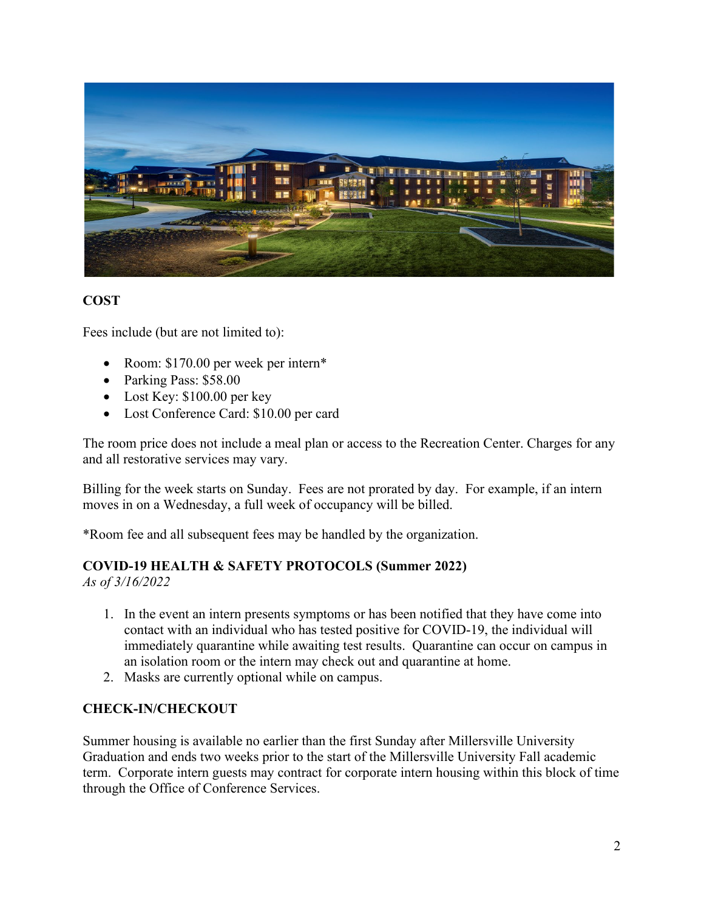

#### **COST**

Fees include (but are not limited to):

- Room: \$170.00 per week per intern\*
- Parking Pass: \$58.00
- Lost Key: \$100.00 per key
- Lost Conference Card: \$10.00 per card

The room price does not include a meal plan or access to the Recreation Center. Charges for any and all restorative services may vary.

Billing for the week starts on Sunday. Fees are not prorated by day. For example, if an intern moves in on a Wednesday, a full week of occupancy will be billed.

\*Room fee and all subsequent fees may be handled by the organization.

# **COVID-19 HEALTH & SAFETY PROTOCOLS (Summer 2022)**

*As of 3/16/2022*

- 1. In the event an intern presents symptoms or has been notified that they have come into contact with an individual who has tested positive for COVID-19, the individual will immediately quarantine while awaiting test results. Quarantine can occur on campus in an isolation room or the intern may check out and quarantine at home.
- 2. Masks are currently optional while on campus.

#### **CHECK-IN/CHECKOUT**

Summer housing is available no earlier than the first Sunday after Millersville University Graduation and ends two weeks prior to the start of the Millersville University Fall academic term. Corporate intern guests may contract for corporate intern housing within this block of time through the Office of Conference Services.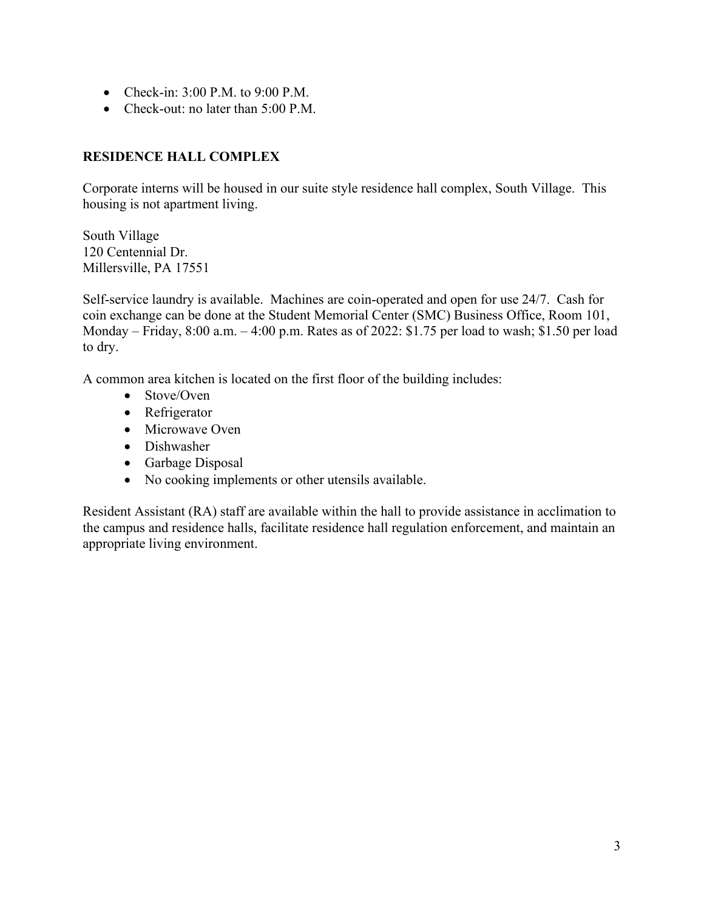- Check-in:  $3:00$  P.M. to  $9:00$  P.M.
- Check-out: no later than 5:00 P.M.

# **RESIDENCE HALL COMPLEX**

Corporate interns will be housed in our suite style residence hall complex, South Village. This housing is not apartment living.

South Village 120 Centennial Dr. Millersville, PA 17551

Self-service laundry is available. Machines are coin-operated and open for use 24/7. Cash for coin exchange can be done at the Student Memorial Center (SMC) Business Office, Room 101, Monday – Friday, 8:00 a.m. – 4:00 p.m. Rates as of 2022: \$1.75 per load to wash; \$1.50 per load to dry.

A common area kitchen is located on the first floor of the building includes:

- Stove/Oven
- Refrigerator
- Microwave Oven
- Dishwasher
- Garbage Disposal
- No cooking implements or other utensils available.

Resident Assistant (RA) staff are available within the hall to provide assistance in acclimation to the campus and residence halls, facilitate residence hall regulation enforcement, and maintain an appropriate living environment.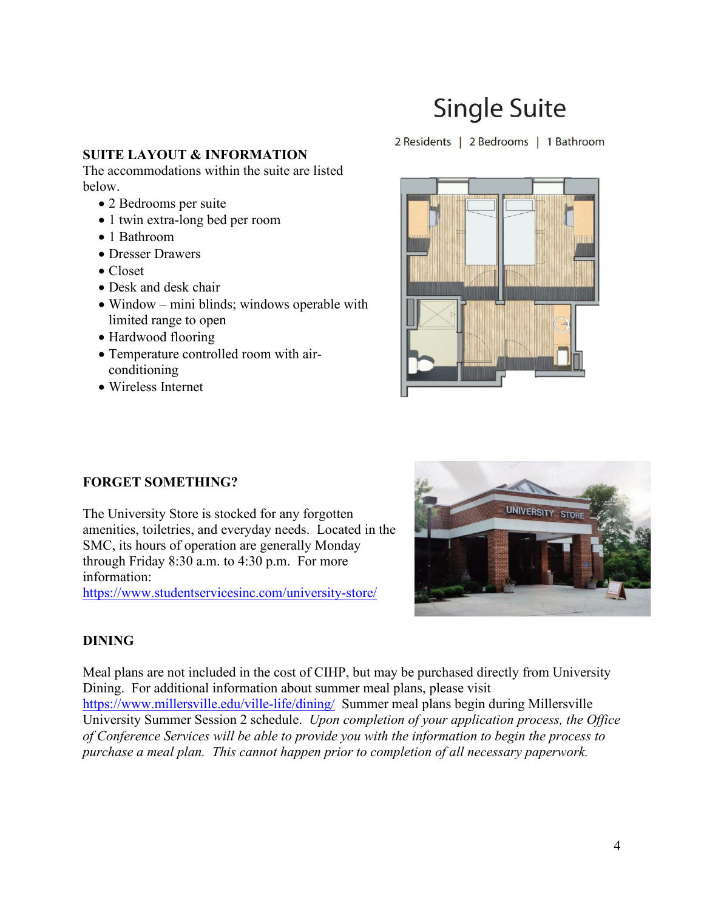# **Single Suite**

#### 2 Residents | 2 Bedrooms | 1 Bathroom

#### **SUITE LAYOUT & INFORMATION**

The accommodations within the suite are listed below.

- 2 Bedrooms per suite
- 1 twin extra-long bed per room
- 1 Bathroom
- Dresser Drawers
- Closet
- Desk and desk chair
- Window mini blinds; windows operable with limited range to open
- Hardwood flooring
- Temperature controlled room with airconditioning
- Wireless Internet



# **FORGET SOMETHING?**

The University Store is stocked for any forgotten amenities, toiletries, and everyday needs. Located in the SMC, its hours of operation are generally Monday through Friday 8:30 a.m. to 4:30 p.m. For more information:

<https://www.studentservicesinc.com/university-store/>



# **DINING**

Meal plans are not included in the cost of CIHP, but may be purchased directly from University Dining. For additional information about summer meal plans, please visit <https://www.millersville.edu/ville-life/dining/>Summer meal plans begin during Millersville University Summer Session 2 schedule. *Upon completion of your application process, the Office of Conference Services will be able to provide you with the information to begin the process to purchase a meal plan. This cannot happen prior to completion of all necessary paperwork.*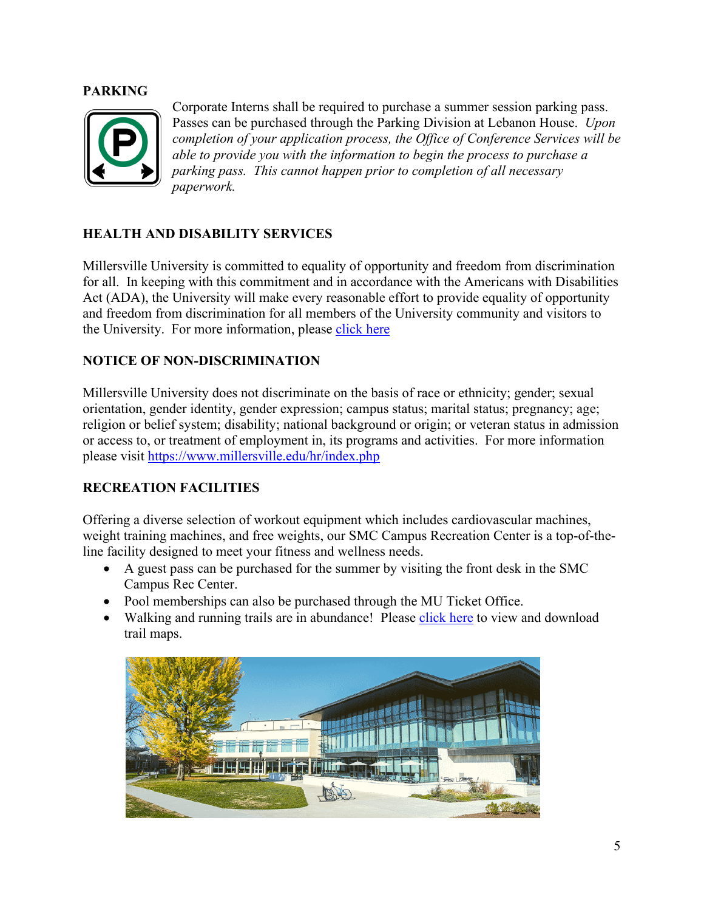#### **PARKING**



Corporate Interns shall be required to purchase a summer session parking pass. Passes can be purchased through the Parking Division at Lebanon House. *Upon completion of your application process, the Office of Conference Services will be able to provide you with the information to begin the process to purchase a parking pass. This cannot happen prior to completion of all necessary paperwork.* 

# **HEALTH AND DISABILITY SERVICES**

Millersville University is committed to equality of opportunity and freedom from discrimination for all. In keeping with this commitment and in accordance with the Americans with Disabilities Act (ADA), the University will make every reasonable effort to provide equality of opportunity and freedom from discrimination for all members of the University community and visitors to the University. For more information, please [click here](https://www.millersville.edu/hr/ada/ada-forms/ada-reasonable-accommodation-and-access-policy.pdf)

#### **NOTICE OF NON-DISCRIMINATION**

Millersville University does not discriminate on the basis of race or ethnicity; gender; sexual orientation, gender identity, gender expression; campus status; marital status; pregnancy; age; religion or belief system; disability; national background or origin; or veteran status in admission or access to, or treatment of employment in, its programs and activities. For more information please visit<https://www.millersville.edu/hr/index.php>

# **RECREATION FACILITIES**

Offering a diverse selection of workout equipment which includes cardiovascular machines, weight training machines, and free weights, our SMC Campus Recreation Center is a top-of-theline facility designed to meet your fitness and wellness needs.

- A guest pass can be purchased for the summer by visiting the front desk in the SMC Campus Rec Center.
- Pool memberships can also be purchased through the MU Ticket Office.
- Walking and running trails are in abundance! Please [click here](https://www.millersville.edu/campusrec/facilities.php) to view and download trail maps.